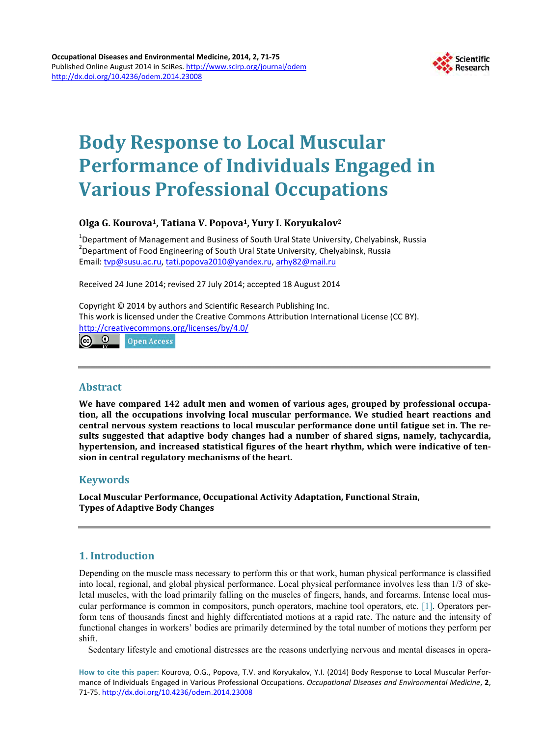

# **Body Response to Local Muscular Performance of Individuals Engaged in Various Professional Occupations**

## **Olga G. Kourova1, Tatiana V. Popova1, Yury I. Koryukalov2**

<sup>1</sup>Department of Management and Business of South Ural State University, Chelyabinsk, Russia<br><sup>2</sup>Department of Food Engineering of South Ural State University, Chelyabinsk, Pussia Department of Food Engineering of South Ural State University, Chelyabinsk, Russia Email: [tvp@susu.ac.ru,](mailto:tvp@susu.ac.ru) [tati.popova2010@yandex.ru,](mailto:tati.popova2010@yandex.ru) [arhy82@mail.ru](mailto:arhy82@mail.ru)

Received 24 June 2014; revised 27 July 2014; accepted 18 August 2014

Copyright © 2014 by authors and Scientific Research Publishing Inc. This work is licensed under the Creative Commons Attribution International License (CC BY). <http://creativecommons.org/licenses/by/4.0/>

 $\bullet$  $_{\rm (cc)}$ **Open Access** 

## **Abstract**

**We have compared 142 adult men and women of various ages, grouped by professional occupation, all the occupations involving local muscular performance. We studied heart reactions and central nervous system reactions to local muscular performance done until fatigue set in. The results suggested that adaptive body changes had a number of shared signs, namely, tachycardia, hypertension, and increased statistical figures of the heart rhythm, which were indicative of tension in central regulatory mechanisms of the heart.**

## **Keywords**

**Local Muscular Performance, Occupational Activity Adaptation, Functional Strain, Types of Adaptive Body Changes**

# **1. Introduction**

Depending on the muscle mass necessary to perform this or that work, human physical performance is classified into local, regional, and global physical performance. Local physical performance involves less than 1/3 of skeletal muscles, with the load primarily falling on the muscles of fingers, hands, and forearms. Intense local muscular performance is common in compositors, punch operators, machine tool operators, etc. [\[1\].](#page-4-0) Operators perform tens of thousands finest and highly differentiated motions at a rapid rate. The nature and the intensity of functional changes in workers' bodies are primarily determined by the total number of motions they perform per shift.

Sedentary lifestyle and emotional distresses are the reasons underlying nervous and mental diseases in opera-

**How to cite this paper:** Kourova, O.G., Popova, T.V. and Koryukalov, Y.I. (2014) Body Response to Local Muscular Performance of Individuals Engaged in Various Professional Occupations. *Occupational Diseases and Environmental Medicine*, **2**, 71-75.<http://dx.doi.org/10.4236/odem.2014.23008>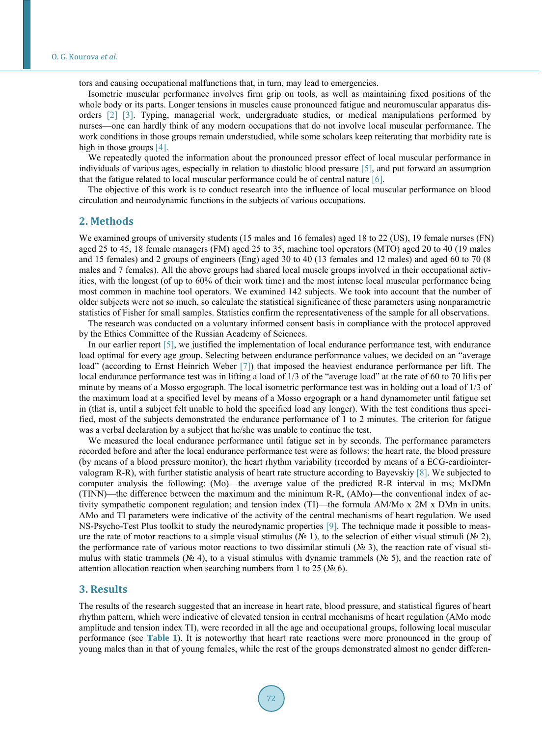tors and causing occupational malfunctions that, in turn, may lead to emergencies.

Isometric muscular performance involves firm grip on tools, as well as maintaining fixed positions of the whole body or its parts. Longer tensions in muscles cause pronounced fatigue and neuromuscular apparatus disorders [\[2\]](#page-4-1) [\[3\].](#page-4-2) Typing, managerial work, undergraduate studies, or medical manipulations performed by nurses—one can hardly think of any modern occupations that do not involve local muscular performance. The work conditions in those groups remain understudied, while some scholars keep reiterating that morbidity rate is high in those groups [\[4\].](#page-4-3)

We repeatedly quoted the information about the pronounced pressor effect of local muscular performance in individuals of various ages, especially in relation to diastolic blood pressure [\[5\],](#page-4-4) and put forward an assumption that the fatigue related to local muscular performance could be of central nature  $[6]$ .

The objective of this work is to conduct research into the influence of local muscular performance on blood circulation and neurodynamic functions in the subjects of various occupations.

### **2. Мethods**

We examined groups of university students (15 males and 16 females) aged 18 to 22 (US), 19 female nurses (FN) aged 25 to 45, 18 female managers (FM) aged 25 to 35, machine tool operators (MTO) aged 20 to 40 (19 males and 15 females) and 2 groups of engineers (Eng) aged 30 to 40 (13 females and 12 males) and aged 60 to 70 (8 males and 7 females). All the above groups had shared local muscle groups involved in their occupational activities, with the longest (of up to 60% of their work time) and the most intense local muscular performance being most common in machine tool operators. We examined 142 subjects. We took into account that the number of older subjects were not so much, so calculate the statistical significance of these parameters using nonparametric statistics of Fisher for small samples. Statistics confirm the representativeness of the sample for all observations.

The research was conducted on a voluntary informed consent basis in compliance with the protocol approved by the Ethics Committee of the Russian Academy of Sciences.

In our earlier report [\[5\],](#page-4-4) we justified the implementation of local endurance performance test, with endurance load optimal for every age group. Selecting between endurance performance values, we decided on an "average load" (according to Ernst Heinrich Weber [\[7\]\)](#page-4-6) that imposed the heaviest endurance performance per lift. The local endurance performance test was in lifting a load of 1/3 of the "average load" at the rate of 60 to 70 lifts per minute by means of a Mosso ergograph. The local isometric performance test was in holding out a load of 1/3 of the maximum load at a specified level by means of a Mosso ergograph or a hand dynamometer until fatigue set in (that is, until a subject felt unable to hold the specified load any longer). With the test conditions thus specified, most of the subjects demonstrated the endurance performance of 1 to 2 minutes. The criterion for fatigue was a verbal declaration by a subject that he/she was unable to continue the test.

We measured the local endurance performance until fatigue set in by seconds. The performance parameters recorded before and after the local endurance performance test were as follows: the heart rate, the blood pressure (by means of a blood pressure monitor), the heart rhythm variability (recorded by means of a ECG-cardiointervalogram R-R), with further statistic analysis of heart rate structure according to Bayevskiy [\[8\].](#page-4-7) We subjected to computer analysis the following: (Mo)—the average value of the predicted R-R interval in ms; MxDMn (TINN)—the difference between the maximum and the minimum R-R, (AMo)—the conventional index of activity sympathetic component regulation; and tension index (TI)—the formula AM/Mo х 2M х DMn in units. AMo and TI parameters were indicative of the activity of the central mechanisms of heart regulation. We used NS-Psycho-Test Plus toolkit to study the neurodynamic properties [\[9\].](#page-4-8) The technique made it possible to measure the rate of motor reactions to a simple visual stimulus (№ 1), to the selection of either visual stimuli (№ 2), the performance rate of various motor reactions to two dissimilar stimuli (№ 3), the reaction rate of visual stimulus with static trammels (№ 4), to a visual stimulus with dynamic trammels (№ 5), and the reaction rate of attention allocation reaction when searching numbers from 1 to 25 ( $\mathcal{N}_{\mathcal{Q}}$  6).

#### **3. Results**

The results of the research suggested that an increase in heart rate, blood pressure, and statistical figures of heart rhythm pattern, which were indicative of elevated tension in central mechanisms of heart regulation (AMo mode amplitude and tension index TI), were recorded in all the age and occupational groups, following local muscular performance (see **[Table 1](#page-2-0)**). It is noteworthy that heart rate reactions were more pronounced in the group of young males than in that of young females, while the rest of the groups demonstrated almost no gender differen-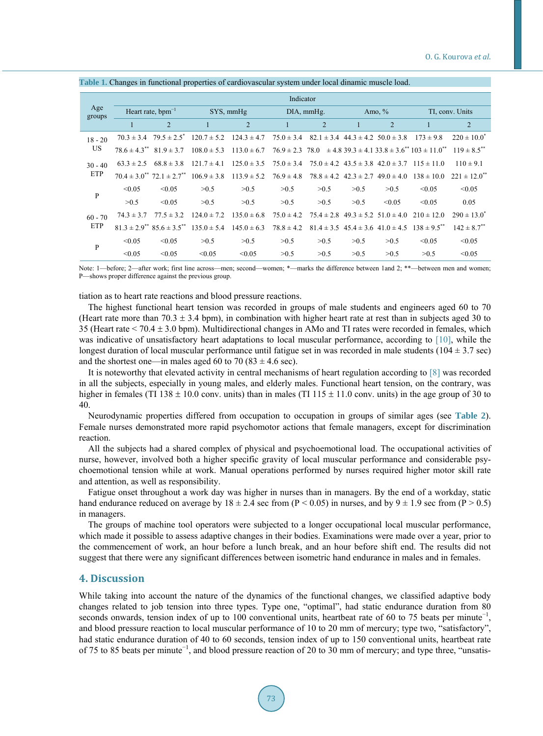| Age<br>groups    | Indicator                     |                                                         |                                               |                 |                |                                              |          |                                              |                                                                                      |                              |  |
|------------------|-------------------------------|---------------------------------------------------------|-----------------------------------------------|-----------------|----------------|----------------------------------------------|----------|----------------------------------------------|--------------------------------------------------------------------------------------|------------------------------|--|
|                  | Heart rate, $bpm^{-1}$        |                                                         | SYS, mmHg                                     |                 | DIA, mmHg.     |                                              | Amo, $%$ |                                              | TI, conv. Units                                                                      |                              |  |
|                  |                               | $\overline{2}$                                          |                                               | $\overline{2}$  |                | $\overline{2}$                               |          | $\overline{2}$                               | 1                                                                                    | 2                            |  |
| $18 - 20$<br>US  |                               |                                                         | $70.3 \pm 3.4$ $79.5 \pm 2.5$ $120.7 \pm 5.2$ | $124.3 \pm 4.7$ | $75.0 \pm 3.4$ | $82.1 \pm 3.4$ 44.3 $\pm$ 4.2 50.0 $\pm$ 3.8 |          |                                              | $173 \pm 9.8$                                                                        | $220 \pm 10.0^*$             |  |
|                  | $78.6 \pm 4.3$ $81.9 \pm 3.7$ |                                                         | $108.0 \pm 5.3$                               | $113.0 \pm 6.7$ |                |                                              |          |                                              | $76.9 \pm 2.3$ $78.0 \pm 4.8$ $39.3 \pm 4.1$ $33.8 \pm 3.6^{**}$ $103 \pm 11.0^{**}$ | $119 \pm 8.5$ <sup>**</sup>  |  |
| $30 - 40$<br>ETP | $63.3 \pm 2.5$                | $68.8 \pm 3.8$                                          | $121.7 \pm 4.1$                               | $125.0 \pm 3.5$ | $75.0 \pm 3.4$ |                                              |          |                                              | $75.0 \pm 4.2$ $43.5 \pm 3.8$ $42.0 \pm 3.7$ $115 \pm 11.0$                          | $110 \pm 9.1$                |  |
|                  |                               | $70.4 \pm 3.0$ $72.1 \pm 2.7$ $^{**}$                   | $106.9 \pm 3.8$                               | $113.9 \pm 5.2$ | $76.9 \pm 4.8$ | $78.8 \pm 4.2$ $42.3 \pm 2.7$                |          |                                              | $49.0 \pm 4.0$ $138 \pm 10.0$                                                        | $221 \pm 12.0$ <sup>**</sup> |  |
| $\mathbf{P}$     | < 0.05                        | < 0.05                                                  | >0.5                                          | >0.5            | >0.5           | >0.5                                         | >0.5     | >0.5                                         | < 0.05                                                                               | < 0.05                       |  |
|                  | >0.5                          | < 0.05                                                  | >0.5                                          | >0.5            | >0.5           | >0.5                                         | >0.5     | < 0.05                                       | < 0.05                                                                               | 0.05                         |  |
| $60 - 70$<br>ETP | $74.3 \pm 3.7$                | $77.5 \pm 3.2$                                          | $124.0 \pm 7.2$                               | $135.0 \pm 6.8$ | $75.0 \pm 4.2$ | $75.4 \pm 2.8$ 49.3 $\pm$ 5.2 51.0 $\pm$ 4.0 |          |                                              | $210 \pm 12.0$                                                                       | $290 \pm 13.0^*$             |  |
|                  |                               | $81.3 \pm 2.9^{**}$ $85.6 \pm 3.5^{**}$ $135.0 \pm 5.4$ |                                               | $145.0 \pm 6.3$ | $78.8 \pm 4.2$ |                                              |          | $81.4 \pm 3.5$ $45.4 \pm 3.6$ $41.0 \pm 4.5$ | $138 \pm 9.5$ <sup>**</sup>                                                          | $142 \pm 8.7$ <sup>**</sup>  |  |
| $\mathbf{P}$     | < 0.05                        | < 0.05                                                  | >0.5                                          | >0.5            | >0.5           | >0.5                                         | >0.5     | >0.5                                         | < 0.05                                                                               | < 0.05                       |  |
|                  | < 0.05                        | < 0.05                                                  | < 0.05                                        | < 0.05          | >0.5           | >0.5                                         | >0.5     | >0.5                                         | >0.5                                                                                 | < 0.05                       |  |

<span id="page-2-0"></span>**Table 1.** Changes in functional properties of cardiovascular system under local dinamic muscle load.

Note: 1—before; 2—after work; first line across—men; second—women; \*—marks the difference between 1and 2; \*\*—between men and women; P—shows proper difference against the previous group.

tiation as to heart rate reactions and blood pressure reactions.

The highest functional heart tension was recorded in groups of male students and engineers aged 60 to 70 (Heart rate more than 70.3  $\pm$  3.4 bpm), in combination with higher heart rate at rest than in subjects aged 30 to 35 (Heart rate < 70.4 ± 3.0 bpm). Multidirectional changes in AMo and TI rates were recorded in females, which was indicative of unsatisfactory heart adaptations to local muscular performance, according to [\[10\],](#page-4-9) while the longest duration of local muscular performance until fatigue set in was recorded in male students (104  $\pm$  3.7 sec) and the shortest one—in males aged 60 to 70 (83  $\pm$  4.6 sec).

It is noteworthy that elevated activity in central mechanisms of heart regulation according to [\[8\]](#page-4-7) was recorded in all the subjects, especially in young males, and elderly males. Functional heart tension, on the contrary, was higher in females (TI 138  $\pm$  10.0 conv. units) than in males (TI 115  $\pm$  11.0 conv. units) in the age group of 30 to 40.

Neurodynamic properties differed from occupation to occupation in groups of similar ages (see **[Table 2](#page-3-0)**). Female nurses demonstrated more rapid psychomotor actions that female managers, except for discrimination reaction.

All the subjects had a shared complex of physical and psychoemotional load. The occupational activities of nurse, however, involved both a higher specific gravity of local muscular performance and considerable psychoemotional tension while at work. Manual operations performed by nurses required higher motor skill rate and attention, as well as responsibility.

Fatigue onset throughout a work day was higher in nurses than in managers. By the end of a workday, static hand endurance reduced on average by  $18 \pm 2.4$  sec from (P < 0.05) in nurses, and by  $9 \pm 1.9$  sec from (P > 0.5) in managers.

The groups of machine tool operators were subjected to a longer occupational local muscular performance, which made it possible to assess adaptive changes in their bodies. Examinations were made over a year, prior to the commencement of work, an hour before a lunch break, and an hour before shift end. The results did not suggest that there were any significant differences between isometric hand endurance in males and in females.

## **4. Discussion**

While taking into account the nature of the dynamics of the functional changes, we classified adaptive body changes related to job tension into three types. Type one, "optimal", had static endurance duration from 80 seconds onwards, tension index of up to 100 conventional units, heartbeat rate of 60 to 75 beats per minute<sup>-1</sup>, and blood pressure reaction to local muscular performance of 10 to 20 mm of mercury; type two, "satisfactory", had static endurance duration of 40 to 60 seconds, tension index of up to 150 conventional units, heartbeat rate of 75 to 85 beats per minute−1, and blood pressure reaction of 20 to 30 mm of mercury; and type three, "unsatis-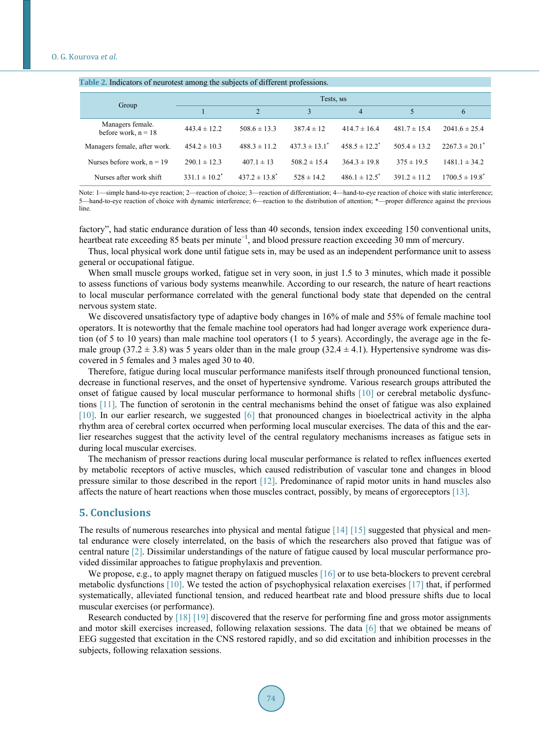<span id="page-3-0"></span>

| Table 2. Indicators of neurotest among the subjects of different professions. |                    |                    |                               |                          |                  |                                |  |  |  |  |  |
|-------------------------------------------------------------------------------|--------------------|--------------------|-------------------------------|--------------------------|------------------|--------------------------------|--|--|--|--|--|
|                                                                               | Tests, MS          |                    |                               |                          |                  |                                |  |  |  |  |  |
| Group                                                                         |                    | 2                  | 3                             | 4                        | 5                | 6                              |  |  |  |  |  |
| Managers female.<br>before work, $n = 18$                                     | $443.4 \pm 12.2$   | $508.6 \pm 13.3$   | $387.4 \pm 12$                | $414.7 \pm 16.4$         | $481.7 \pm 15.4$ | $2041.6 \pm 25.4$              |  |  |  |  |  |
| Managers female, after work.                                                  | $454.2 \pm 10.3$   | $488.3 \pm 11.2$   | $437.3 \pm 13.1$ <sup>*</sup> | $458.5 \pm 12.2^*$       | $505.4 \pm 13.2$ | $2267.3 \pm 20.1$ <sup>*</sup> |  |  |  |  |  |
| Nurses before work, $n = 19$                                                  | $290.1 \pm 12.3$   | $407.1 \pm 13$     | $508.2 \pm 15.4$              | $364.3 \pm 19.8$         | $375 \pm 19.5$   | $1481.1 \pm 34.2$              |  |  |  |  |  |
| Nurses after work shift                                                       | $331.1 \pm 10.2^*$ | $437.2 \pm 13.8^*$ | $528 \pm 14.2$                | $486.1 \pm 12.5^{\circ}$ | $391.2 \pm 11.2$ | $1700.5 \pm 19.8^*$            |  |  |  |  |  |

Note: 1—simple hand-to-eye reaction; 2—reaction of choice; 3—reaction of differentiation; 4—hand-to-eye reaction of choice with static interference; 5—hand-to-eye reaction of choice with dynamic interference; 6—reaction to the distribution of attention; \*—proper difference against the previous line.

factory", had static endurance duration of less than 40 seconds, tension index exceeding 150 conventional units, heartbeat rate exceeding 85 beats per minute<sup>-1</sup>, and blood pressure reaction exceeding 30 mm of mercury.

Thus, local physical work done until fatigue sets in, may be used as an independent performance unit to assess general or occupational fatigue.

When small muscle groups worked, fatigue set in very soon, in just 1.5 to 3 minutes, which made it possible to assess functions of various body systems meanwhile. According to our research, the nature of heart reactions to local muscular performance correlated with the general functional body state that depended on the central nervous system state.

We discovered unsatisfactory type of adaptive body changes in 16% of male and 55% of female machine tool operators. It is noteworthy that the female machine tool operators had had longer average work experience duration (of 5 to 10 years) than male machine tool operators (1 to 5 years). Accordingly, the average age in the female group (37.2  $\pm$  3.8) was 5 years older than in the male group (32.4  $\pm$  4.1). Hypertensive syndrome was discovered in 5 females and 3 males aged 30 to 40.

Therefore, fatigue during local muscular performance manifests itself through pronounced functional tension, decrease in functional reserves, and the onset of hypertensive syndrome. Various research groups attributed the onset of fatigue caused by local muscular performance to hormonal shifts [\[10\]](#page-4-9) or cerebral metabolic dysfunctions [\[11\].](#page-4-10) The function of serotonin in the central mechanisms behind the onset of fatigue was also explained [\[10\].](#page-4-9) In our earlier research, we suggested [\[6\]](#page-4-5) that pronounced changes in bioelectrical activity in the alpha rhythm area of cerebral cortex occurred when performing local muscular exercises. The data of this and the earlier researches suggest that the activity level of the central regulatory mechanisms increases as fatigue sets in during local muscular exercises.

The mechanism of pressor reactions during local muscular performance is related to reflex influences exerted by metabolic receptors of active muscles, which caused redistribution of vascular tone and changes in blood pressure similar to those described in the report [\[12\].](#page-4-11) Predominance of rapid motor units in hand muscles also affects the nature of heart reactions when those muscles contract, possibly, by means of ergoreceptors [\[13\].](#page-4-12)

#### **5. Conclusions**

The results of numerous researches into physical and mental fatigue [\[14\]](#page-4-13) [\[15\]](#page-4-14) suggested that physical and mental endurance were closely interrelated, on the basis of which the researchers also proved that fatigue was of central nature [\[2\].](#page-4-1) Dissimilar understandings of the nature of fatigue caused by local muscular performance provided dissimilar approaches to fatigue prophylaxis and prevention.

We propose, e.g., to apply magnet therapy on fatigued muscles [\[16\]](#page-4-15) or to use beta-blockers to prevent cerebral metabolic dysfunctions [\[10\].](#page-4-9) We tested the action of psychophysical relaxation exercises [\[17\]](#page-4-16) that, if performed systematically, alleviated functional tension, and reduced heartbeat rate and blood pressure shifts due to local muscular exercises (or performance).

Research conducted by [\[18\]](#page-4-17) [\[19\]](#page-4-18) discovered that the reserve for performing fine and gross motor assignments and motor skill exercises increased, following relaxation sessions. The data [\[6\]](#page-4-5) that we obtained be means of EEG suggested that excitation in the CNS restored rapidly, and so did excitation and inhibition processes in the subjects, following relaxation sessions.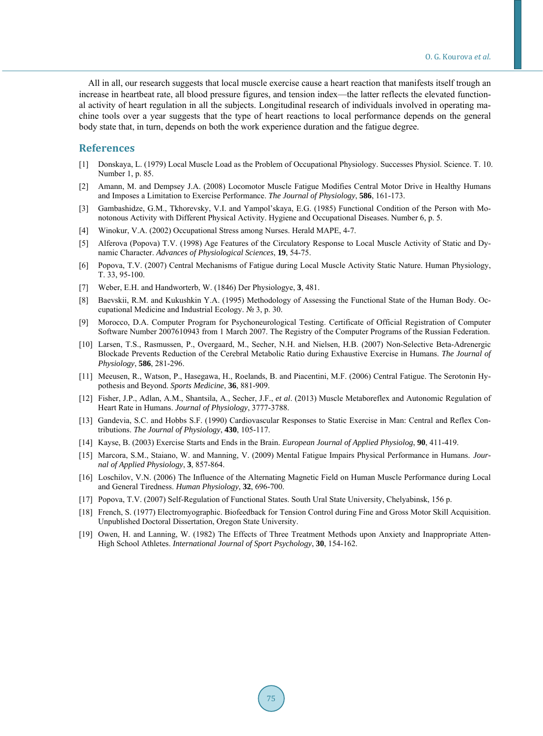All in all, our research suggests that local muscle exercise cause a heart reaction that manifests itself trough an increase in heartbeat rate, all blood pressure figures, and tension index—the latter reflects the elevated functional activity of heart regulation in all the subjects. Longitudinal research of individuals involved in operating machine tools over a year suggests that the type of heart reactions to local performance depends on the general body state that, in turn, depends on both the work experience duration and the fatigue degree.

### **References**

- <span id="page-4-0"></span>[1] Donskaya, L. (1979) Local Muscle Load as the Problem of Occupational Physiology. Successes Physiol. Science. T. 10. Number 1, p. 85.
- <span id="page-4-1"></span>[2] Amann, M. and Dempsey J.A. (2008) Locomotor Muscle Fatigue Modifies Central Motor Drive in Healthy Humans and Imposes a Limitation to Exercise Performance. *The Journal of Physiology*, **586**, 161-173.
- <span id="page-4-2"></span>[3] Gambashidze, G.M., Tkhorevsky, V.I. and Yampol'skaya, E.G. (1985) Functional Condition of the Person with Monotonous Activity with Different Physical Activity. Hygiene and Occupational Diseases. Number 6, p. 5.
- <span id="page-4-3"></span>[4] Winokur, V.A. (2002) Occupational Stress among Nurses. Herald MAPE, 4-7.
- <span id="page-4-4"></span>[5] Alferova (Popova) T.V. (1998) Age Features of the Circulatory Response to Local Muscle Activity of Static and Dynamic Character. *Advances of Physiological Sciences*, **19**, 54-75.
- <span id="page-4-5"></span>[6] Popova, T.V. (2007) Central Mechanisms of Fatigue during Local Muscle Activity Static Nature. Human Physiology, T. 33, 95-100.
- <span id="page-4-6"></span>[7] Weber, E.H. and Handworterb, W. (1846) Der Physiologye, **3**, 481.
- <span id="page-4-7"></span>[8] Baevskii, R.M. and Kukushkin Y.A. (1995) Methodology of Assessing the Functional State of the Human Body. Occupational Medicine and Industrial Ecology. № 3, р. 30.
- <span id="page-4-8"></span>[9] Morocco, D.A. Computer Program for Psychoneurological Testing. Certificate of Official Registration of Computer Software Number 2007610943 from 1 March 2007. The Registry of the Computer Programs of the Russian Federation.
- <span id="page-4-9"></span>[10] Larsen, T.S., Rasmussen, P., Overgaard, M., Secher, N.H. and Nielsen, H.B. (2007) Non-Selective Beta-Adrenergic Blockade Prevents Reduction of the Cerebral Metabolic Ratio during Exhaustive Exercise in Humans. *The Journal of Physiology*, **586**, 281-296.
- <span id="page-4-10"></span>[11] Meeusen, R., Watson, P., Hasegawa, H., Roelands, B. and Piacentini, M.F. (2006) Central Fatigue. The Serotonin Hypothesis and Beyond. *Sports Medicine*, **36**, 881-909.
- <span id="page-4-11"></span>[12] Fisher, J.P., Adlan, A.M., Shantsila, A., Secher, J.F., *et al*. (2013) Muscle Metaboreflex and Autonomic Regulation of Heart Rate in Humans. *Journal of Physiology*, 3777-3788.
- <span id="page-4-12"></span>[13] Gandevia, S.C. and Hobbs S.F. (1990) Cardiovascular Responses to Static Exercise in Man: Central and Reflex Contributions. *The Journal of Physiology*, **430**, 105-117.
- <span id="page-4-13"></span>[14] Kayse, B. (2003) Exercise Starts and Ends in the Brain. *European Journal of Applied Physiolog*, **90**, 411-419.
- <span id="page-4-14"></span>[15] Marcora, S.M., Staiano, W. and Manning, V. (2009) Mental Fatigue Impairs Physical Performance in Humans. *Journal of Applied Physiology*, **3**, 857-864.
- <span id="page-4-15"></span>[16] Loschilov, V.N. (2006) The Influence of the Alternating Magnetic Field on Human Muscle Performance during Local and General Tiredness. *Human Physiology*, **32**, 696-700.
- <span id="page-4-16"></span>[17] Popova, T.V. (2007) Self-Regulation of Functional States. South Ural State University, Chelyabinsk, 156 p.
- <span id="page-4-17"></span>[18] French, S. (1977) Electromyographic. Biofeedback for Tension Control during Fine and Gross Motor Skill Acquisition. Unpublished Doctoral Dissertation, Oregon State University.
- <span id="page-4-18"></span>[19] Owen, H. and Lanning, W. (1982) The Effects of Three Treatment Methods upon Anxiety and Inappropriate Atten-High School Athletes. *International Journal of Sport Psychology*, **30**, 154-162.